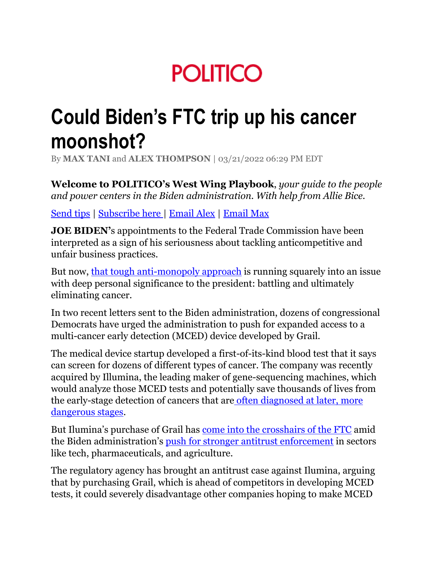# **POLITICO**

# **Could Biden's FTC trip up his cancer moonshot?**

By **[MAX TANI](https://www.politico.com/staff/max-tani)** and **[ALEX THOMPSON](https://www.politico.com/staff/alex-thompson)** | 03/21/2022 06:29 PM EDT

**Welcome to POLITICO's West Wing Playbook**, *your guide to the people and power centers in the Biden administration. With help from Allie Bice.*

[Send tips](mailto:westwingtips@politico.com) | [Subscribe here](https://www.politico.com/newsletters/west-wing-playbook) | [Email Alex](mailto:athompson@politico.com) | [Email Max](mailto:mtani@politico.com)

**JOE BIDEN'**s appointments to the Federal Trade Commission have been interpreted as a sign of his seriousness about tackling anticompetitive and unfair business practices.

But now, [that tough anti-monopoly approach](https://www.politico.com/news/2021/07/08/biden-assault-monopolies-498876) is running squarely into an issue with deep personal significance to the president: battling and ultimately eliminating cancer.

In two recent letters sent to the Biden administration, dozens of congressional Democrats have urged the administration to push for expanded access to a multi-cancer early detection (MCED) device developed by Grail.

The medical device startup developed a first-of-its-kind blood test that it says can screen for dozens of different types of cancer. The company was recently acquired by Illumina, the leading maker of gene-sequencing machines, which would analyze those MCED tests and potentially save thousands of lives from the early-stage detection of cancers that are often diagnosed at later, more [dangerous stages.](https://www.nytimes.com/2022/02/10/business/illumina-gene-sequencing-ftc.html)

But Ilumina's purchase of Grail has [come into the crosshairs of the FTC](https://www.reuters.com/legal/transactional/ftc-urges-judge-unwind-71-bln-illumina-grail-merger-2021-08-24/) amid the Biden administration's [push for stronger antitrust enforcement](https://www.nytimes.com/2021/07/24/business/biden-antitrust-amazon-google.html) in sectors like tech, pharmaceuticals, and agriculture.

The regulatory agency has brought an antitrust case against Ilumina, arguing that by purchasing Grail, which is ahead of competitors in developing MCED tests, it could severely disadvantage other companies hoping to make MCED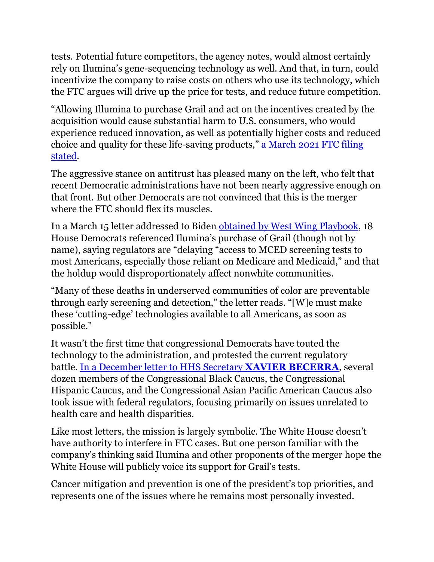tests. Potential future competitors, the agency notes, would almost certainly rely on Ilumina's gene-sequencing technology as well. And that, in turn, could incentivize the company to raise costs on others who use its technology, which the FTC argues will drive up the price for tests, and reduce future competition.

"Allowing Illumina to purchase Grail and act on the incentives created by the acquisition would cause substantial harm to U.S. consumers, who would experience reduced innovation, as well as potentially higher costs and reduced choice and quality for these life-saving products," [a March 2021 FTC filing](https://www.ftc.gov/system/files/documents/cases/redacted_administrative_part_3_complaint_redacted.pdf)  [stated.](https://www.ftc.gov/system/files/documents/cases/redacted_administrative_part_3_complaint_redacted.pdf)

The aggressive stance on antitrust has pleased many on the left, who felt that recent Democratic administrations have not been nearly aggressive enough on that front. But other Democrats are not convinced that this is the merger where the FTC should flex its muscles.

In a March 15 letter addressed to Biden [obtained by West Wing Playbook,](https://www.politico.com/f/?id=0000017f-ae61-ddbf-a17f-be69744f0000) 18 House Democrats referenced Ilumina's purchase of Grail (though not by name), saying regulators are "delaying "access to MCED screening tests to most Americans, especially those reliant on Medicare and Medicaid," and that the holdup would disproportionately affect nonwhite communities.

"Many of these deaths in underserved communities of color are preventable through early screening and detection," the letter reads. "[W]e must make these 'cutting-edge' technologies available to all Americans, as soon as possible."

It wasn't the first time that congressional Democrats have touted the technology to the administration, and protested the current regulatory battle. [In a December letter to HHS Secretary](https://murphy.house.gov/uploadedfiles/final.tricaucus.cancertest.hhs.122121.pdf) **XAVIER BECERRA**, several dozen members of the Congressional Black Caucus, the Congressional Hispanic Caucus, and the Congressional Asian Pacific American Caucus also took issue with federal regulators, focusing primarily on issues unrelated to health care and health disparities.

Like most letters, the mission is largely symbolic. The White House doesn't have authority to interfere in FTC cases. But one person familiar with the company's thinking said Ilumina and other proponents of the merger hope the White House will publicly voice its support for Grail's tests.

Cancer mitigation and prevention is one of the president's top priorities, and represents one of the issues where he remains most personally invested.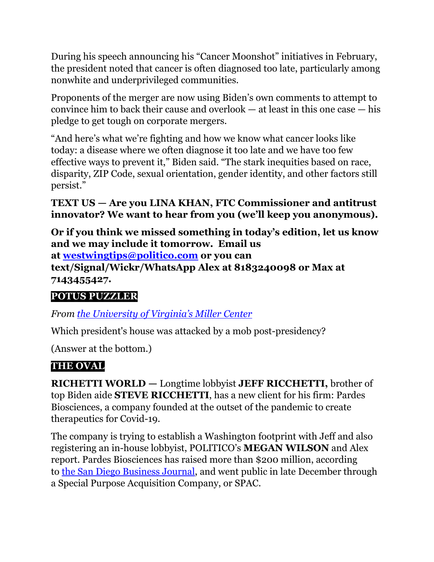During his speech announcing his "Cancer Moonshot" initiatives in February, the president noted that cancer is often diagnosed too late, particularly among nonwhite and underprivileged communities.

Proponents of the merger are now using Biden's own comments to attempt to convince him to back their cause and overlook — at least in this one case — his pledge to get tough on corporate mergers.

"And here's what we're fighting and how we know what cancer looks like today: a disease where we often diagnose it too late and we have too few effective ways to prevent it," Biden said. "The stark inequities based on race, disparity, ZIP Code, sexual orientation, gender identity, and other factors still persist."

**TEXT US — Are you LINA KHAN, FTC Commissioner and antitrust innovator? We want to hear from you (we'll keep you anonymous).**

**Or if you think we missed something in today's edition, let us know and we may include it tomorrow. Email us at [westwingtips@politico.com](mailto:westwingtips@politico.com) or you can text/Signal/Wickr/WhatsApp Alex at 8183240098 or Max at 7143455427.**

#### **POTUS PUZZLER**

*From [the University of Virginia's Miller Center](https://millercenter.org/)*

Which president's house was attacked by a mob post-presidency?

(Answer at the bottom.)

#### **THE OVAL**

**RICHETTI WORLD —** Longtime lobbyist **JEFF RICCHETTI,** brother of top Biden aide **STEVE RICCHETTI**, has a new client for his firm: Pardes Biosciences, a company founded at the outset of the pandemic to create therapeutics for Covid-19.

The company is trying to establish a Washington footprint with Jeff and also registering an in-house lobbyist, POLITICO's **MEGAN WILSON** and Alex report. Pardes Biosciences has raised more than \$200 million, according to [the San Diego Business Journal,](https://www.sdbj.com/news/2022/jan/10/pardes-bioscience-nets-199m-spac-merger/) and went public in late December through a Special Purpose Acquisition Company, or SPAC.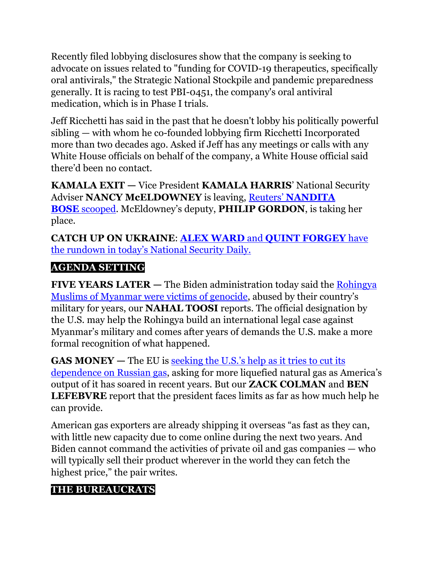Recently filed lobbying disclosures show that the company is seeking to advocate on issues related to "funding for COVID-19 therapeutics, specifically oral antivirals," the Strategic National Stockpile and pandemic preparedness generally. It is racing to test PBI-0451, the company's oral antiviral medication, which is in Phase I trials.

Jeff Ricchetti has said in the past that he doesn't lobby his politically powerful sibling — with whom he co-founded lobbying firm Ricchetti Incorporated more than two decades ago. Asked if Jeff has any meetings or calls with any White House officials on behalf of the company, a White House official said there'd been no contact.

**KAMALA EXIT** — Vice President **KAMALA HARRIS**' National Security Adviser **NANCY McELDOWNEY** is leaving, Reuters' **[NANDITA](https://www.reuters.com/world/us/exclusive-vp-harriss-national-security-adviser-mceldowney-depart-2022-03-21/)  BOSE** [scooped](https://www.reuters.com/world/us/exclusive-vp-harriss-national-security-adviser-mceldowney-depart-2022-03-21/). McEldowney's deputy, **PHILIP GORDON**, is taking her place.

**CATCH UP ON UKRAINE**: **ALEX WARD** and **[QUINT FORGEY](https://www.politico.com/newsletters/national-security-daily/2022/03/21/the-problem-with-hypersonic-and-russias-attack-claim-00018946)** have [the rundown in today's National Security Daily.](https://www.politico.com/newsletters/national-security-daily/2022/03/21/the-problem-with-hypersonic-and-russias-attack-claim-00018946)

#### **AGENDA SETTING**

**FIVE YEARS LATER —** The Biden administration today said the [Rohingya](https://www.politico.com/news/2022/03/21/us-recognizes-rohingya-genocide-myanmar-00018858)  [Muslims of Myanmar were victims of genocide](https://www.politico.com/news/2022/03/21/us-recognizes-rohingya-genocide-myanmar-00018858), abused by their country's military for years, our **NAHAL TOOSI** reports. The official designation by the U.S. may help the Rohingya build an international legal case against Myanmar's military and comes after years of demands the U.S. make a more formal recognition of what happened.

**GAS MONEY —** The EU is [seeking the U.S.'s help as it tries to cut its](https://www.politico.com/news/2022/03/21/biden-europe-russian-gas-00018189)  [dependence on Russian gas](https://www.politico.com/news/2022/03/21/biden-europe-russian-gas-00018189), asking for more liquefied natural gas as America's output of it has soared in recent years. But our **ZACK COLMAN** and **BEN LEFEBVRE** report that the president faces limits as far as how much help he can provide.

American gas exporters are already shipping it overseas "as fast as they can, with little new capacity due to come online during the next two years. And Biden cannot command the activities of private oil and gas companies — who will typically sell their product wherever in the world they can fetch the highest price," the pair writes.

## **THE BUREAUCRATS**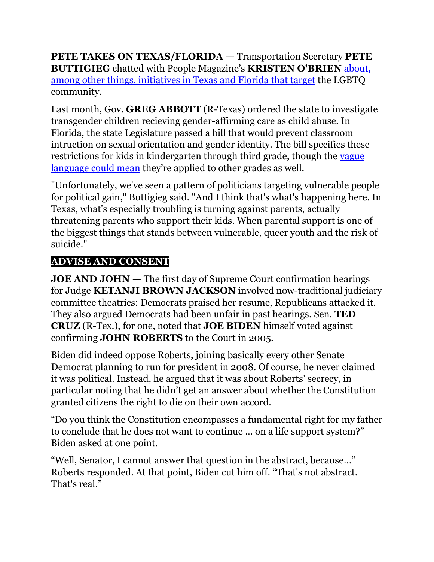**PETE TAKES ON TEXAS/FLORIDA —** Transportation Secretary **PETE BUTTIGIEG** chatted with People Magazine's **KRISTEN O'BRIEN** [about,](https://people.com/politics/pete-buttigieg-geeks-out-on-infrastructure-being-new-dad-life-in-dc/?utm_campaign=peoplemagazine&utm_content=new&utm_medium=social&utm_source=twitter.com&utm_term=623894d552440400013b9c17)  [among other things, initiatives in Texas and Florida that target](https://people.com/politics/pete-buttigieg-geeks-out-on-infrastructure-being-new-dad-life-in-dc/?utm_campaign=peoplemagazine&utm_content=new&utm_medium=social&utm_source=twitter.com&utm_term=623894d552440400013b9c17) the LGBTQ community.

Last month, Gov. **GREG ABBOTT** (R-Texas) ordered the state to investigate transgender children recieving gender-affirming care as child abuse. In Florida, the state Legislature passed a bill that would prevent classroom intruction on sexual orientation and gender identity. The bill specifies these restrictions for kids in kindergarten through third grade, though the [vague](https://www.nytimes.com/2022/03/18/us/dont-say-gay-bill-florida.html)  [language could mean](https://www.nytimes.com/2022/03/18/us/dont-say-gay-bill-florida.html) they're applied to other grades as well.

"Unfortunately, we've seen a pattern of politicians targeting vulnerable people for political gain," Buttigieg said. "And I think that's what's happening here. In Texas, what's especially troubling is turning against parents, actually threatening parents who support their kids. When parental support is one of the biggest things that stands between vulnerable, queer youth and the risk of suicide."

#### **ADVISE AND CONSENT**

**JOE AND JOHN —** The first day of Supreme Court confirmation hearings for Judge **KETANJI BROWN JACKSON** involved now-traditional judiciary committee theatrics: Democrats praised her resume, Republicans attacked it. They also argued Democrats had been unfair in past hearings. Sen. **TED CRUZ** (R-Tex.), for one, noted that **JOE BIDEN** himself voted against confirming **JOHN ROBERTS** to the Court in 2005.

Biden did indeed oppose Roberts, joining basically every other Senate Democrat planning to run for president in 2008. Of course, he never claimed it was political. Instead, he argued that it was about Roberts' secrecy, in particular noting that he didn't get an answer about whether the Constitution granted citizens the right to die on their own accord.

"Do you think the Constitution encompasses a fundamental right for my father to conclude that he does not want to continue … on a life support system?" Biden asked at one point.

"Well, Senator, I cannot answer that question in the abstract, because…" Roberts responded. At that point, Biden cut him off. "That's not abstract. That's real."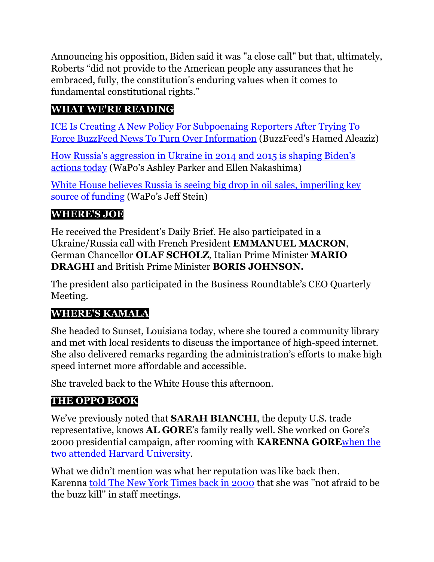Announcing his opposition, Biden said it was "a close call" but that, ultimately, Roberts "did not provide to the American people any assurances that he embraced, fully, the constitution's enduring values when it comes to fundamental constitutional rights."

#### **WHAT WE'RE READING**

ICE Is Creating A New Policy [For Subpoenaing Reporters After Trying To](https://www.buzzfeednews.com/article/hamedaleaziz/ice-policy-subpoenaing-reporters)  [Force BuzzFeed News To Turn Over Information](https://www.buzzfeednews.com/article/hamedaleaziz/ice-policy-subpoenaing-reporters) (BuzzFeed's Hamed Aleaziz)

[How Russia's aggression in Ukraine in 2014 and 2015 is shaping Biden's](https://www.washingtonpost.com/politics/2022/03/21/biden-crimea-russia-ukraine/)  [actions today](https://www.washingtonpost.com/politics/2022/03/21/biden-crimea-russia-ukraine/) (WaPo's Ashley Parker and Ellen Nakashima)

[White House believes Russia is seeing big drop in oil sales, imperiling key](https://www.washingtonpost.com/us-policy/2022/03/21/russian-oil-sales-white-house/)  [source of funding](https://www.washingtonpost.com/us-policy/2022/03/21/russian-oil-sales-white-house/) (WaPo's Jeff Stein)

## **WHERE'S JOE**

He received the President's Daily Brief. He also participated in a Ukraine/Russia call with French President **EMMANUEL MACRON**, German Chancellor **OLAF SCHOLZ**, Italian Prime Minister **MARIO DRAGHI** and British Prime Minister **BORIS JOHNSON.**

The president also participated in the Business Roundtable's CEO Quarterly Meeting.

#### **WHERE'S KAMALA**

She headed to Sunset, Louisiana today, where she toured a community library and met with local residents to discuss the importance of high-speed internet. She also delivered remarks regarding the administration's efforts to make high speed internet more affordable and accessible.

She traveled back to the White House this afternoon.

## **THE OPPO BOOK**

We've previously noted that **SARAH BIANCHI**, the deputy U.S. trade representative, knows **AL GORE**'s family really well. She worked on Gore's 2000 presidential campaign, after rooming with **KARENNA GORE**[when the](https://www.politico.com/newsletters/west-wing-playbook/2021/05/11/the-heiress-in-the-biden-administration-492806)  [two attended Harvard University.](https://www.politico.com/newsletters/west-wing-playbook/2021/05/11/the-heiress-in-the-biden-administration-492806)

What we didn't mention was what her reputation was like back then. Karenna [told The New York Times back in 2000](https://www.nytimes.com/2000/09/04/us/public-lives-young-and-scary-smart-policy-aide-earns-gore-s-ear.html) that she was ''not afraid to be the buzz kill'' in staff meetings.